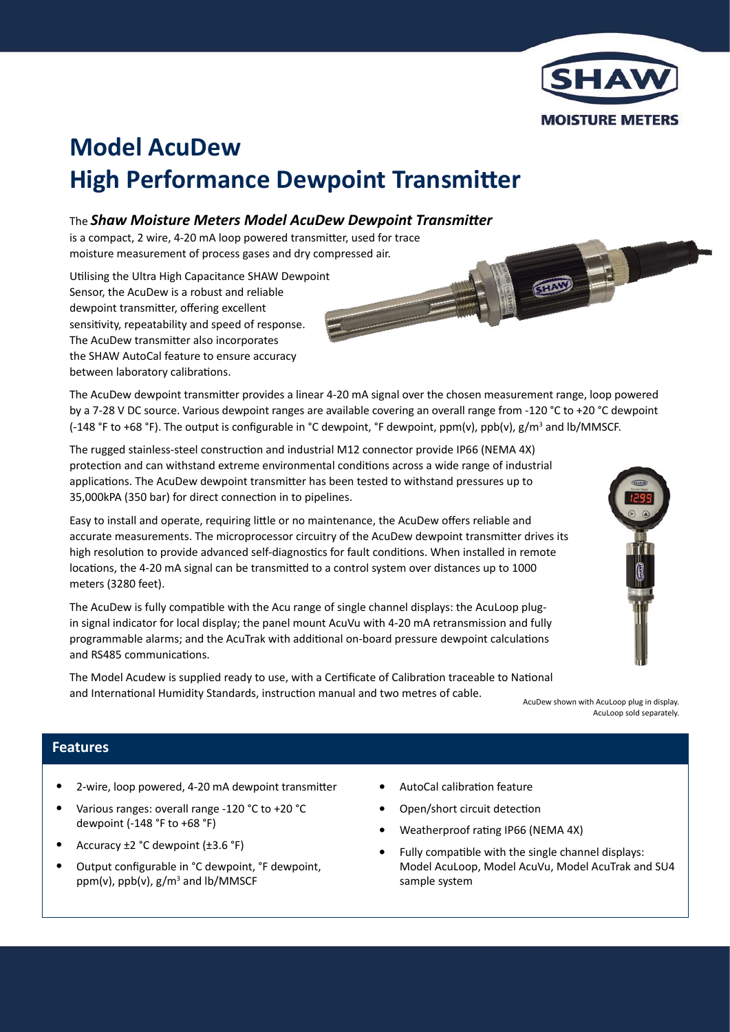

SHOW

# **Model AcuDew High Performance Dewpoint Transmitter**

## The *Shaw Moisture Meters Model AcuDew Dewpoint Transmitter*

is a compact, 2 wire, 4-20 mA loop powered transmitter, used for trace moisture measurement of process gases and dry compressed air.

Utilising the Ultra High Capacitance SHAW Dewpoint Sensor, the AcuDew is a robust and reliable dewpoint transmitter, offering excellent sensitivity, repeatability and speed of response. The AcuDew transmitter also incorporates the SHAW AutoCal feature to ensure accuracy between laboratory calibrations.

The AcuDew dewpoint transmitter provides a linear 4-20 mA signal over the chosen measurement range, loop powered by a 7-28 V DC source. Various dewpoint ranges are available covering an overall range from -120 °C to +20 °C dewpoint (-148 °F to +68 °F). The output is configurable in °C dewpoint, °F dewpoint, ppm(v), ppb(v),  $g/m^3$  and lb/MMSCF.

The rugged stainless-steel construction and industrial M12 connector provide IP66 (NEMA 4X) protection and can withstand extreme environmental conditions across a wide range of industrial applications. The AcuDew dewpoint transmitter has been tested to withstand pressures up to 35,000kPA (350 bar) for direct connection in to pipelines.

Easy to install and operate, requiring little or no maintenance, the AcuDew offers reliable and accurate measurements. The microprocessor circuitry of the AcuDew dewpoint transmitter drives its high resolution to provide advanced self-diagnostics for fault conditions. When installed in remote locations, the 4-20 mA signal can be transmitted to a control system over distances up to 1000 meters (3280 feet).

The AcuDew is fully compatible with the Acu range of single channel displays: the AcuLoop plugin signal indicator for local display; the panel mount AcuVu with 4-20 mA retransmission and fully programmable alarms; and the AcuTrak with additional on-board pressure dewpoint calculations and RS485 communications.

The Model Acudew is supplied ready to use, with a Certificate of Calibration traceable to National and International Humidity Standards, instruction manual and two metres of cable.<br>AcuDew shown with AcuLoop plug in display.



AcuLoop sold separately.

# **Features**

I

- 2-wire, loop powered, 4-20 mA dewpoint transmitter •
- Various ranges: overall range -120 °C to +20 °C dewpoint (-148 °F to +68 °F) •
- Accuracy ±2 °C dewpoint (±3.6 °F) •
- Output configurable in °C dewpoint, °F dewpoint, ppm(v), ppb(v), g/m<sup>3</sup> and lb/MMSCF •
- AutoCal calibration feature •
- Open/short circuit detection •
- Weatherproof rating IP66 (NEMA 4X) •
- Fully compatible with the single channel displays: Model AcuLoop, Model AcuVu, Model AcuTrak and SU4 sample system •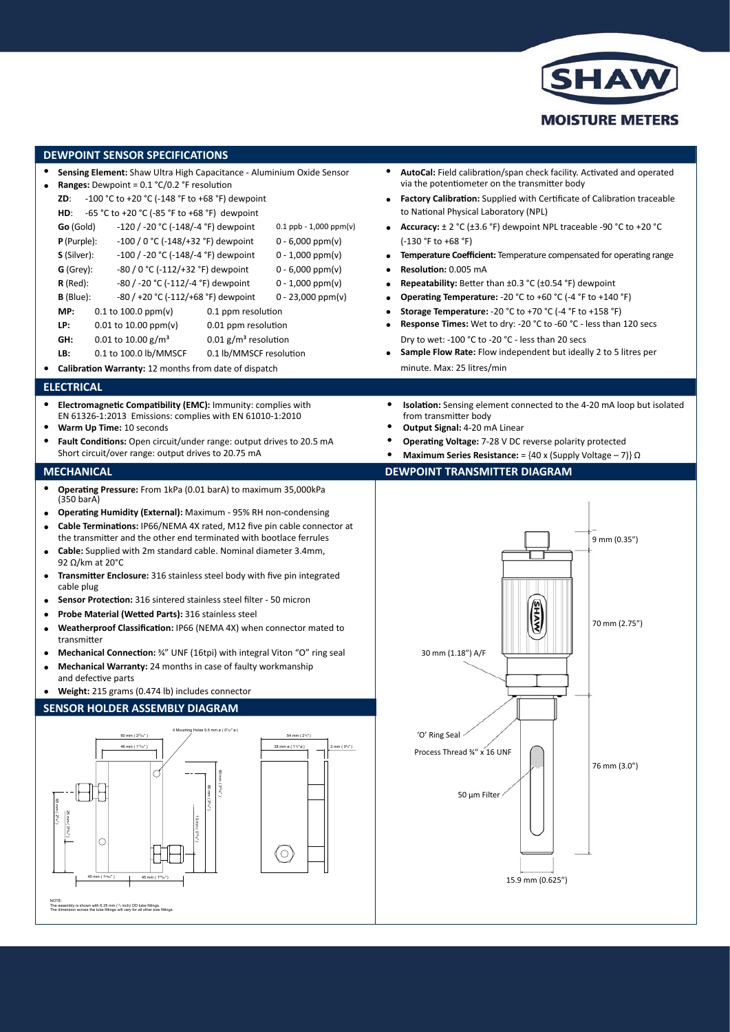

| <b>DEWPOINT SENSOR SPECIFICATIONS</b>                                                                                                                                                                                                                                                                                                                                                                                                                                                                                                                                                                                                                                                                                                                                                                                                                                                                                                                                                              |                                                                                                                                                                                                                                                                                                                                                                                                                                                                            |  |  |  |
|----------------------------------------------------------------------------------------------------------------------------------------------------------------------------------------------------------------------------------------------------------------------------------------------------------------------------------------------------------------------------------------------------------------------------------------------------------------------------------------------------------------------------------------------------------------------------------------------------------------------------------------------------------------------------------------------------------------------------------------------------------------------------------------------------------------------------------------------------------------------------------------------------------------------------------------------------------------------------------------------------|----------------------------------------------------------------------------------------------------------------------------------------------------------------------------------------------------------------------------------------------------------------------------------------------------------------------------------------------------------------------------------------------------------------------------------------------------------------------------|--|--|--|
| Sensing Element: Shaw Ultra High Capacitance - Aluminium Oxide Sensor<br><b>Ranges:</b> Dewpoint = $0.1 \text{ °C}/0.2 \text{ °F}$ resolution<br>-100 °C to +20 °C (-148 °F to +68 °F) dewpoint<br>ZD:<br>-65 °C to +20 °C (-85 °F to +68 °F) dewpoint<br>HD:<br>Go (Gold)<br>-120 / -20 °C (-148/-4 °F) dewpoint<br>$0.1$ ppb - 1,000 ppm(v)                                                                                                                                                                                                                                                                                                                                                                                                                                                                                                                                                                                                                                                      | AutoCal: Field calibration/span check facility. Activated and operated<br>via the potentiometer on the transmitter body<br><b>Factory Calibration:</b> Supplied with Certificate of Calibration traceable<br>to National Physical Laboratory (NPL)<br><b>Accuracy:</b> $\pm$ 2 °C ( $\pm$ 3.6 °F) dewpoint NPL traceable -90 °C to +20 °C<br>$\bullet$                                                                                                                     |  |  |  |
| $P$ (Purple):<br>$-100/0$ °C (-148/+32 °F) dewpoint<br>$0 - 6,000$ ppm(v)<br>-100 / -20 °C (-148/-4 °F) dewpoint<br><b>S</b> (Silver):<br>$0 - 1,000$ ppm(v)<br>-80 / 0 °C (-112/+32 °F) dewpoint<br>$G$ (Grey):<br>$0 - 6,000$ ppm(v)<br>$R$ (Red):<br>$-80$ / $-20$ °C ( $-112$ / $-4$ °F) dewpoint<br>$0 - 1,000$ ppm(v)<br>$B$ (Blue):<br>$-80$ / +20 °C ( $-112$ /+68 °F) dewpoint<br>$0 - 23,000$ ppm(v)<br>MP:<br>$0.1$ to 100.0 ppm(v)<br>0.1 ppm resolution<br>LP:<br>$0.01$ to 10.00 ppm(v)<br>0.01 ppm resolution<br>GH:<br>0.01 to 10.00 $\frac{g}{m^3}$<br>$0.01$ g/m <sup>3</sup> resolution                                                                                                                                                                                                                                                                                                                                                                                         | (-130 °F to +68 °F)<br><b>Temperature Coefficient:</b> Temperature compensated for operating range<br>$\bullet$<br>Resolution: 0.005 mA<br>Repeatability: Better than ±0.3 °C (±0.54 °F) dewpoint<br>$\bullet$<br>Operating Temperature: - 20 °C to +60 °C (-4 °F to +140 °F)<br><b>Storage Temperature:</b> -20 °C to +70 °C (-4 °F to +158 °F)<br>Response Times: Wet to dry: -20 °C to -60 °C - less than 120 secs<br>Dry to wet: -100 °C to -20 °C - less than 20 secs |  |  |  |
| LB:<br>0.1 to 100.0 lb/MMSCF<br>0.1 lb/MMSCF resolution<br>Calibration Warranty: 12 months from date of dispatch                                                                                                                                                                                                                                                                                                                                                                                                                                                                                                                                                                                                                                                                                                                                                                                                                                                                                   | <b>Sample Flow Rate:</b> Flow independent but ideally 2 to 5 litres per<br>minute. Max: 25 litres/min                                                                                                                                                                                                                                                                                                                                                                      |  |  |  |
| <b>ELECTRICAL</b>                                                                                                                                                                                                                                                                                                                                                                                                                                                                                                                                                                                                                                                                                                                                                                                                                                                                                                                                                                                  |                                                                                                                                                                                                                                                                                                                                                                                                                                                                            |  |  |  |
| Electromagnetic Compatibility (EMC): Immunity: complies with<br>٠<br>EN 61326-1:2013 Emissions: complies with EN 61010-1:2010<br>Warm Up Time: 10 seconds<br>Fault Conditions: Open circuit/under range: output drives to 20.5 mA<br>٠<br>Short circuit/over range: output drives to 20.75 mA                                                                                                                                                                                                                                                                                                                                                                                                                                                                                                                                                                                                                                                                                                      | <b>Isolation:</b> Sensing element connected to the 4-20 mA loop but isolated<br>٠<br>from transmitter body<br>Output Signal: 4-20 mA Linear<br>Operating Voltage: 7-28 V DC reverse polarity protected<br><b>Maximum Series Resistance:</b> = $\{40 \times (\text{Supply Voltage} - 7)\}\Omega$                                                                                                                                                                            |  |  |  |
| <b>MECHANICAL</b>                                                                                                                                                                                                                                                                                                                                                                                                                                                                                                                                                                                                                                                                                                                                                                                                                                                                                                                                                                                  | <b>DEWPOINT TRANSMITTER DIAGRAM</b>                                                                                                                                                                                                                                                                                                                                                                                                                                        |  |  |  |
| Operating Pressure: From 1kPa (0.01 barA) to maximum 35,000kPa<br>٠<br>(350 barA)<br><b>Operating Humidity (External):</b> Maximum - 95% RH non-condensing<br>Cable Terminations: IP66/NEMA 4X rated, M12 five pin cable connector at<br>$\bullet$<br>the transmitter and the other end terminated with bootlace ferrules<br>• Cable: Supplied with 2m standard cable. Nominal diameter 3.4mm,<br>92 $\Omega$ /km at 20°C<br>Transmitter Enclosure: 316 stainless steel body with five pin integrated<br>٠<br>cable plug<br>Sensor Protection: 316 sintered stainless steel filter - 50 micron<br>Probe Material (Wetted Parts): 316 stainless steel<br>Weatherproof Classification: IP66 (NEMA 4X) when connector mated to<br>transmitter<br>Mechanical Connection: 34" UNF (16tpi) with integral Viton "O" ring seal<br>Mechanical Warranty: 24 months in case of faulty workmanship<br>and defective parts<br>Weight: 215 grams (0.474 lb) includes connector<br>SENSOR HOLDER ASSEMBLY DIAGRAM | 9 mm (0.35")<br>70 mm (2.75")<br>30 mm (1.18") A/F                                                                                                                                                                                                                                                                                                                                                                                                                         |  |  |  |
| 4 Mounting Holes 5.5 mm ø ( 0%" ø'<br>54 mm (2%")<br>60 mm (2 <sup>23</sup> 64")<br>46 mm (1 <sup>13/10</sup> <sup>*</sup> )<br>38 mm ø (11/2"ø)<br>$3$ mm ( $0\%$ *)<br>O<br>nm (2%e')<br>$P(a_1, 0)$ Luu q<br>О<br>$\circ$<br>45 mm (1%")<br>45 mm ( 1 <sup>49</sup> %")                                                                                                                                                                                                                                                                                                                                                                                                                                                                                                                                                                                                                                                                                                                         | 'O' Ring Seal<br>Process Thread %" x 16 UNF<br>76 mm (3.0")<br>50 µm Filter<br>15.9 mm (0.625")                                                                                                                                                                                                                                                                                                                                                                            |  |  |  |
| NOTE:<br>The assembly is shown with 6.35 mm (14 inch) OD tube fittings                                                                                                                                                                                                                                                                                                                                                                                                                                                                                                                                                                                                                                                                                                                                                                                                                                                                                                                             |                                                                                                                                                                                                                                                                                                                                                                                                                                                                            |  |  |  |